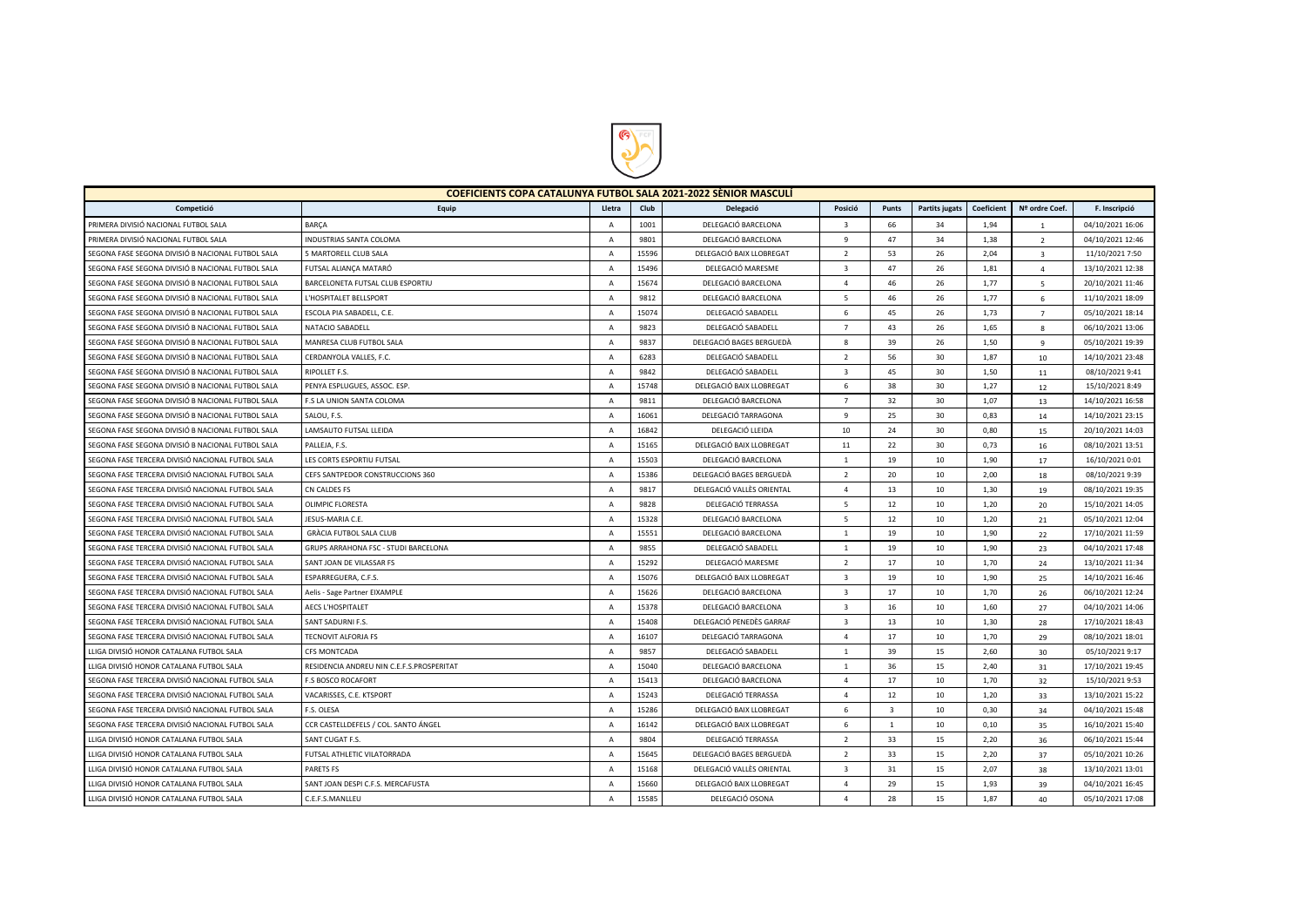

| <b>COEFICIENTS COPA CATALUNYA FUTBOL SALA 2021-2022 SÈNIOR MASCULÍ</b> |                                           |                |       |                           |                         |                         |                       |            |                         |                  |
|------------------------------------------------------------------------|-------------------------------------------|----------------|-------|---------------------------|-------------------------|-------------------------|-----------------------|------------|-------------------------|------------------|
| Competició                                                             | Equip                                     | Lletra         | Club  | Delegació                 | Posició                 | Punts                   | <b>Partits jugats</b> | Coeficient | Nº ordre Coef.          | F. Inscripció    |
| PRIMERA DIVISIÓ NACIONAL FUTBOL SALA                                   | <b>BARCA</b>                              | $\mathsf{A}$   | 1001  | DELEGACIÓ BARCELONA       | $\overline{\mathbf{3}}$ | 66                      | 34                    | 1,94       | <sup>1</sup>            | 04/10/2021 16:06 |
| PRIMERA DIVISIÓ NACIONAL FUTBOL SALA                                   | <b>INDUSTRIAS SANTA COLOMA</b>            | $\overline{A}$ | 9801  | DELEGACIÓ BARCELONA       | 9                       | 47                      | 34                    | 1,38       | $\overline{2}$          | 04/10/2021 12:46 |
| SEGONA FASE SEGONA DIVISIÓ B NACIONAL FUTBOL SALA                      | 5 MARTORELL CLUB SALA                     | $\overline{A}$ | 15596 | DELEGACIÓ BAIX LLOBREGAT  | 2                       | 53                      | 26                    | 2.04       | $\overline{\mathbf{3}}$ | 11/10/2021 7:50  |
| SEGONA FASE SEGONA DIVISIÓ B NACIONAL FUTBOL SALA                      | FUTSAL ALIANÇA MATARÓ                     | $\overline{A}$ | 15496 | DELEGACIÓ MARESME         | $\overline{\mathbf{3}}$ | 47                      | 26                    | 1,81       | $\overline{4}$          | 13/10/2021 12:38 |
| SEGONA FASE SEGONA DIVISIÓ B NACIONAL FUTBOL SALA                      | BARCELONETA FUTSAL CLUB ESPORTIU          | $\mathsf{A}$   | 15674 | DELEGACIÓ BARCELONA       | $\overline{4}$          | 46                      | 26                    | 1,77       | 5                       | 20/10/2021 11:46 |
| SEGONA FASE SEGONA DIVISIÓ B NACIONAL FUTBOL SALA                      | L'HOSPITALET BELLSPORT                    | $\overline{A}$ | 9812  | DELEGACIÓ BARCELONA       | 5                       | 46                      | 26                    | 1,77       | 6                       | 11/10/2021 18:09 |
| SEGONA FASE SEGONA DIVISIÓ B NACIONAL FUTBOL SALA                      | ESCOLA PIA SABADELL, C.E.                 | $\overline{A}$ | 15074 | DELEGACIÓ SABADELL        | 6                       | 45                      | 26                    | 1,73       | $\overline{7}$          | 05/10/2021 18:14 |
| SEGONA FASE SEGONA DIVISIÓ B NACIONAL FUTBOL SALA                      | NATACIO SABADELL                          | $\overline{A}$ | 9823  | DELEGACIÓ SABADELL        | $\overline{7}$          | 43                      | 26                    | 1,65       | $\mathbf{g}$            | 06/10/2021 13:06 |
| SEGONA FASE SEGONA DIVISIÓ B NACIONAL FUTBOL SALA                      | MANRESA CLUB FUTBOL SALA                  | $\mathsf{A}$   | 9837  | DELEGACIÓ BAGES BERGUEDÀ  | 8                       | 39                      | 26                    | 1,50       | -9                      | 05/10/2021 19:39 |
| SEGONA FASE SEGONA DIVISIÓ B NACIONAL FUTBOL SALA                      | CERDANYOLA VALLES, F.C.                   | $\overline{A}$ | 6283  | DELEGACIÓ SABADELL        | $\overline{2}$          | 56                      | 30                    | 1,87       | 10                      | 14/10/2021 23:48 |
| SEGONA FASE SEGONA DIVISIÓ B NACIONAL FUTBOL SALA                      | RIPOLLET F.S.                             | A              | 9842  | DELEGACIÓ SABADELL        | $\overline{\mathbf{3}}$ | 45                      | 30                    | 1,50       | 11                      | 08/10/2021 9:41  |
| SEGONA FASE SEGONA DIVISIÓ B NACIONAL FUTBOL SALA                      | PENYA ESPLUGUES, ASSOC. ESP               | $\overline{A}$ | 15748 | DELEGACIÓ BAIX LLOBREGAT  | 6                       | 38                      | 30                    | 1,27       | 12                      | 15/10/2021 8:49  |
| SEGONA FASE SEGONA DIVISIÓ B NACIONAL FUTBOL SALA                      | F.S LA UNION SANTA COLOMA                 | $\overline{A}$ | 9811  | DELEGACIÓ BARCELONA       | $\overline{7}$          | 32                      | 30                    | 1,07       | 13                      | 14/10/2021 16:58 |
| SEGONA FASE SEGONA DIVISIÓ B NACIONAL FUTBOL SALA                      | SALOU, F.S.                               | $\overline{A}$ | 16061 | DELEGACIÓ TARRAGONA       | 9                       | 25                      | 30                    | 0.83       | 14                      | 14/10/2021 23:15 |
| SEGONA FASE SEGONA DIVISIÓ B NACIONAL FUTBOL SALA                      | LAMSAUTO FUTSAL LLEIDA                    | A              | 16842 | DELEGACIÓ LLEIDA          | 10                      | 24                      | 30                    | 0,80       | 15                      | 20/10/2021 14:03 |
| SEGONA FASE SEGONA DIVISIÓ B NACIONAL FUTBOL SALA                      | PALLEJA, F.S.                             | $\overline{A}$ | 15165 | DELEGACIÓ BAIX LLOBREGAT  | 11                      | 22                      | 30                    | 0,73       | 16                      | 08/10/2021 13:51 |
| SEGONA FASE TERCERA DIVISIÓ NACIONAL FUTBOL SALA                       | LES CORTS ESPORTIU FUTSAL                 | $\overline{A}$ | 15503 | DELEGACIÓ BARCELONA       | <sup>1</sup>            | 19                      | 10                    | 1,90       | 17                      | 16/10/2021 0:01  |
| SEGONA FASE TERCERA DIVISIÓ NACIONAL FUTBOL SALA                       | CEFS SANTPEDOR CONSTRUCCIONS 360          | $\overline{A}$ | 15386 | DELEGACIÓ BAGES BERGUEDÀ  | 2                       | 20                      | 10                    | 2.00       | 18                      | 08/10/2021 9:39  |
| SEGONA FASE TERCERA DIVISIÓ NACIONAL FUTBOL SALA                       | CN CALDES FS                              | $\overline{A}$ | 9817  | DELEGACIÓ VALLÈS ORIENTAL | $\overline{4}$          | 13                      | 10                    | 1.30       | 19                      | 08/10/2021 19:35 |
| SEGONA FASE TERCERA DIVISIÓ NACIONAL FUTBOL SALA                       | <b>OLIMPIC FLORESTA</b>                   | A              | 9828  | DELEGACIÓ TERRASSA        | 5                       | 12                      | 10                    | 1,20       | 20                      | 15/10/2021 14:05 |
| SEGONA FASE TERCERA DIVISIÓ NACIONAL FUTBOL SALA                       | JESUS-MARIA C.E.                          | $\overline{A}$ | 15328 | DELEGACIÓ BARCELONA       | 5                       | 12                      | 10                    | 1,20       | 21                      | 05/10/2021 12:04 |
| SEGONA FASE TERCERA DIVISIÓ NACIONAL FUTBOL SALA                       | <b>GRÀCIA FUTBOL SALA CLUB</b>            | A              | 15551 | DELEGACIÓ BARCELONA       | <sup>1</sup>            | 19                      | 10                    | 1,90       | 22                      | 17/10/2021 11:59 |
| SEGONA FASE TERCERA DIVISIÓ NACIONAL FUTBOL SALA                       | GRUPS ARRAHONA FSC - STUDI BARCELONA      | $\overline{A}$ | 9855  | DELEGACIÓ SABADELL        | $\mathbf{1}$            | 19                      | 10                    | 1.90       | 23                      | 04/10/2021 17:48 |
| SEGONA FASE TERCERA DIVISIÓ NACIONAL FUTBOL SALA                       | SANT JOAN DE VILASSAR FS                  | $\overline{A}$ | 15292 | DELEGACIÓ MARESME         | $\overline{2}$          | 17                      | 10                    | 1.70       | 24                      | 13/10/2021 11:34 |
| SEGONA FASE TERCERA DIVISIÓ NACIONAL FUTBOL SALA                       | ESPARREGUERA, C.F.S.                      | $\overline{A}$ | 15076 | DELEGACIÓ BAIX LLOBREGAT  | $\overline{\mathbf{3}}$ | 19                      | 10                    | 1,90       | 25                      | 14/10/2021 16:46 |
| SEGONA FASE TERCERA DIVISIÓ NACIONAL FUTBOL SALA                       | Aelis - Sage Partner EIXAMPLE             | $\overline{A}$ | 15626 | DELEGACIÓ BARCELONA       | $\overline{\mathbf{3}}$ | 17                      | 10                    | 1,70       | 26                      | 06/10/2021 12:24 |
| SEGONA FASE TERCERA DIVISIÓ NACIONAL FUTBOL SALA                       | <b>AECS L'HOSPITALET</b>                  | $\overline{A}$ | 15378 | DELEGACIÓ BARCELONA       | $\overline{3}$          | 16                      | 10                    | 1,60       | 27                      | 04/10/2021 14:06 |
| SEGONA FASE TERCERA DIVISIÓ NACIONAL FUTBOL SALA                       | SANT SADURNI F.S.                         | $\overline{A}$ | 15408 | DELEGACIÓ PENEDÈS GARRAF  | $\overline{3}$          | 13                      | 10                    | 1,30       | 28                      | 17/10/2021 18:43 |
| SEGONA FASE TERCERA DIVISIÓ NACIONAL FUTBOL SALA                       | <b>TECNOVIT ALFORJA FS</b>                | $\mathsf{A}$   | 16107 | DELEGACIÓ TARRAGONA       | $\overline{4}$          | 17                      | 10                    | 1,70       | 29                      | 08/10/2021 18:01 |
| LLIGA DIVISIÓ HONOR CATALANA FUTBOL SALA                               | <b>CFS MONTCADA</b>                       | $\overline{A}$ | 9857  | DELEGACIÓ SABADELL        | $\mathbf{1}$            | 39                      | 15                    | 2.60       | 30                      | 05/10/2021 9:17  |
| LLIGA DIVISIÓ HONOR CATALANA FUTBOL SALA                               | RESIDENCIA ANDREU NIN C.E.F.S.PROSPERITAT | $\overline{A}$ | 15040 | DELEGACIÓ BARCELONA       | <sup>1</sup>            | 36                      | 15                    | 2,40       | 31                      | 17/10/2021 19:45 |
| SEGONA FASE TERCERA DIVISIÓ NACIONAL FUTBOL SALA                       | <b>F.S BOSCO ROCAFORT</b>                 | $\overline{A}$ | 15413 | DELEGACIÓ BARCELONA       | $\overline{4}$          | 17                      | 10                    | 1,70       | 32                      | 15/10/2021 9:53  |
| SEGONA FASE TERCERA DIVISIÓ NACIONAL FUTBOL SALA                       | VACARISSES, C.E. KTSPORT                  | A              | 15243 | DELEGACIÓ TERRASSA        | $\overline{4}$          | 12                      | 10                    | 1,20       | 33                      | 13/10/2021 15:22 |
| SEGONA FASE TERCERA DIVISIÓ NACIONAL FUTBOL SALA                       | F.S. OLESA                                | $\overline{A}$ | 15286 | DELEGACIÓ BAIX LLOBREGAT  | 6                       | $\overline{\mathbf{3}}$ | 10                    | 0,30       | 34                      | 04/10/2021 15:48 |
| SEGONA FASE TERCERA DIVISIÓ NACIONAL FUTBOL SALA                       | CCR CASTELLDEFELS / COL. SANTO ÁNGEL      | $\mathsf{A}$   | 16142 | DELEGACIÓ BAIX LLOBREGAT  | 6                       | 1                       | 10                    | 0.10       | 35                      | 16/10/2021 15:40 |
| LLIGA DIVISIÓ HONOR CATALANA FUTBOL SALA                               | SANT CUGAT F.S.                           | $\overline{A}$ | 9804  | DELEGACIÓ TERRASSA        | $\overline{2}$          | 33                      | 15                    | 2,20       | 36                      | 06/10/2021 15:44 |
| LLIGA DIVISIÓ HONOR CATALANA FUTBOL SALA                               | FUTSAL ATHLETIC VILATORRADA               | $\overline{A}$ | 15645 | DELEGACIÓ BAGES BERGUEDÀ  | $\overline{2}$          | 33                      | 15                    | 2,20       | 37                      | 05/10/2021 10:26 |
| LLIGA DIVISIÓ HONOR CATALANA FUTBOL SALA                               | PARETS FS                                 | $\overline{A}$ | 15168 | DELEGACIÓ VALLÈS ORIENTAL | $\overline{\mathbf{3}}$ | 31                      | 15                    | 2,07       | 38                      | 13/10/2021 13:01 |
| LLIGA DIVISIÓ HONOR CATALANA FUTBOL SALA                               | SANT JOAN DESPI C.F.S. MERCAFUSTA         | $\overline{A}$ | 15660 | DELEGACIÓ BAIX LLOBREGAT  | $\overline{a}$          | 29                      | 15                    | 1.93       | 39                      | 04/10/2021 16:45 |
| LLIGA DIVISIÓ HONOR CATALANA FUTBOL SALA                               | C.E.F.S.MANLLEU                           | $\overline{A}$ | 15585 | DELEGACIÓ OSONA           | $\Delta$                | 28                      | 15                    | 1.87       | 40                      | 05/10/2021 17:08 |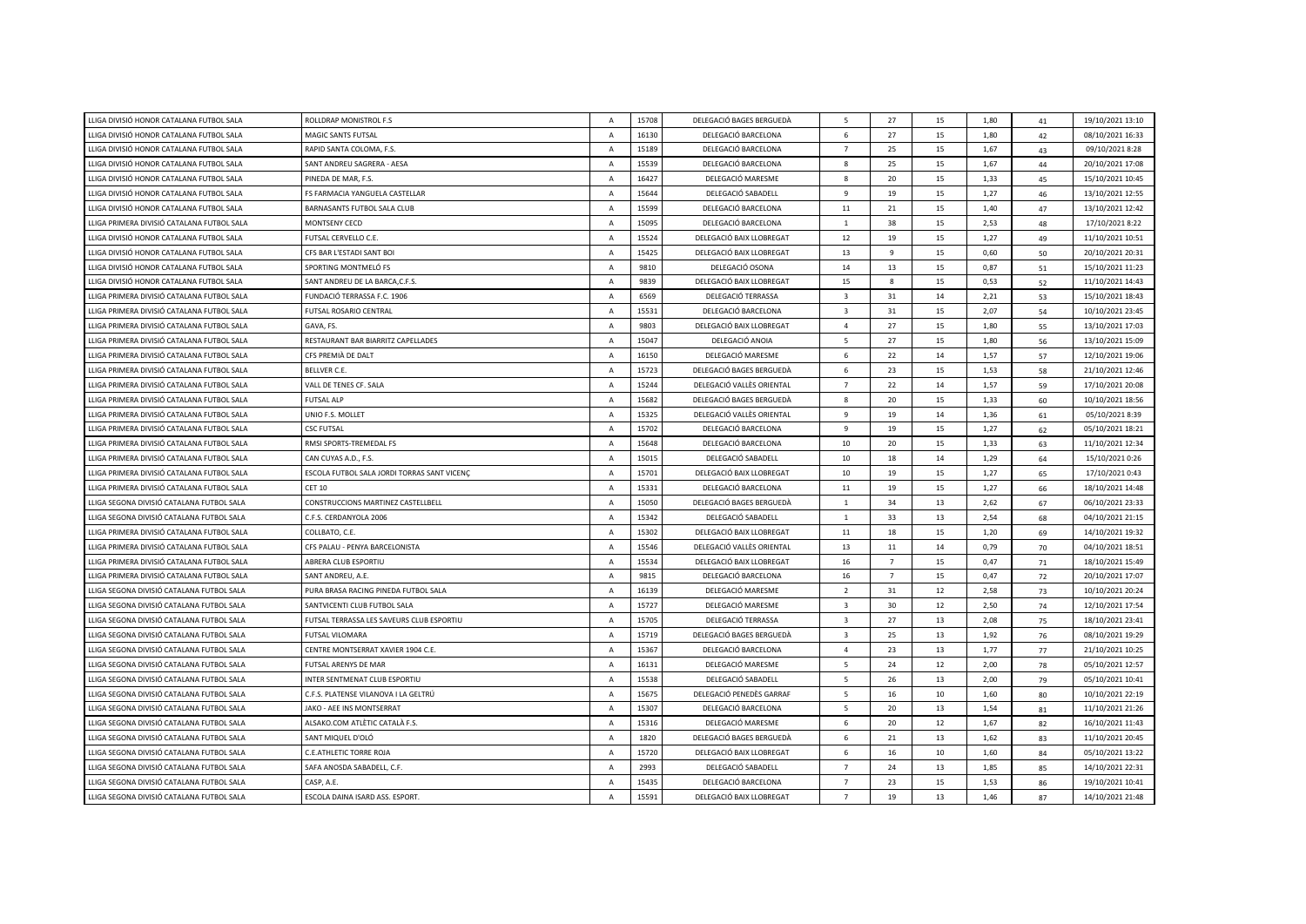| LLIGA DIVISIÓ HONOR CATALANA FUTBOL SALA   | ROLLDRAP MONISTROL F.S.                     | $\overline{A}$ | 15708 | DELEGACIÓ BAGES BERGUEDÀ  | 5                        | 27             | 15 | 1.80 | 41 | 19/10/2021 13:10 |
|--------------------------------------------|---------------------------------------------|----------------|-------|---------------------------|--------------------------|----------------|----|------|----|------------------|
| LLIGA DIVISIÓ HONOR CATALANA FUTBOL SALA   | MAGIC SANTS FUTSAL                          | $\overline{A}$ | 16130 | DELEGACIÓ BARCELONA       | 6                        | 27             | 15 | 1,80 | 42 | 08/10/2021 16:33 |
| LLIGA DIVISIÓ HONOR CATALANA FUTBOL SALA   | RAPID SANTA COLOMA, F.S.                    | $\overline{A}$ | 15189 | DELEGACIÓ BARCELONA       | $\overline{7}$           | 25             | 15 | 1,67 | 43 | 09/10/2021 8:28  |
| LLIGA DIVISIÓ HONOR CATALANA FUTBOL SALA   | SANT ANDREU SAGRERA - AESA                  | $\mathsf{A}$   | 15539 | DELEGACIÓ BARCELONA       | 8                        | 25             | 15 | 1,67 | 44 | 20/10/2021 17:08 |
| LLIGA DIVISIÓ HONOR CATALANA FUTBOL SALA   | PINEDA DE MAR, F.S.                         | $\overline{A}$ | 16427 | DELEGACIÓ MARESME         | 8                        | 20             | 15 | 1,33 | 45 | 15/10/2021 10:45 |
| LLIGA DIVISIÓ HONOR CATALANA FUTBOL SALA   | FS FARMACIA YANGUELA CASTELLAR              | $\overline{A}$ | 15644 | DELEGACIÓ SABADELL        | 9                        | 19             | 15 | 1,27 | 46 | 13/10/2021 12:55 |
| LLIGA DIVISIÓ HONOR CATALANA FUTBOL SALA   | BARNASANTS FUTBOL SALA CLUB                 | A              | 15599 | DELEGACIÓ BARCELONA       | 11                       | 21             | 15 | 1,40 | 47 | 13/10/2021 12:42 |
| LLIGA PRIMERA DIVISIÓ CATALANA FUTBOL SALA | MONTSENY CECD                               | $\mathsf{A}$   | 15095 | DELEGACIÓ BARCELONA       | $\mathbf{1}$             | 38             | 15 | 2,53 | 48 | 17/10/2021 8:22  |
| LLIGA DIVISIÓ HONOR CATALANA FUTBOL SALA   | FUTSAL CERVELLO C.E.                        | $\overline{A}$ | 15524 | DELEGACIÓ BAIX LLOBREGAT  | 12                       | 19             | 15 | 1,27 | 49 | 11/10/2021 10:51 |
| LLIGA DIVISIÓ HONOR CATALANA FUTBOL SALA   | CFS BAR L'ESTADI SANT BOI                   | $\overline{A}$ | 15425 | DELEGACIÓ BAIX LLOBREGAT  | 13                       | 9              | 15 | 0,60 | 50 | 20/10/2021 20:31 |
| LLIGA DIVISIÓ HONOR CATALANA FUTBOL SALA   | SPORTING MONTMELÓ FS                        | $\overline{A}$ | 9810  | DELEGACIÓ OSONA           | 14                       | 13             | 15 | 0,87 | 51 | 15/10/2021 11:23 |
| LLIGA DIVISIÓ HONOR CATALANA FUTBOL SALA   | SANT ANDREU DE LA BARCA, C.F.S.             | $\mathsf{A}$   | 9839  | DELEGACIÓ BAIX LLOBREGAT  | 15                       | 8              | 15 | 0,53 | 52 | 11/10/2021 14:43 |
| LLIGA PRIMERA DIVISIÓ CATALANA FUTBOL SALA | FUNDACIÓ TERRASSA F.C. 1906                 | A              | 6569  | DELEGACIÓ TERRASSA        | $\overline{\mathbf{3}}$  | 31             | 14 | 2,21 | 53 | 15/10/2021 18:43 |
| LLIGA PRIMERA DIVISIÓ CATALANA FUTBOL SALA | FUTSAL ROSARIO CENTRAL                      | $\overline{A}$ | 15531 | DELEGACIÓ BARCELONA       | $\overline{\mathbf{3}}$  | 31             | 15 | 2,07 | 54 | 10/10/2021 23:45 |
| LLIGA PRIMERA DIVISIÓ CATALANA FUTBOL SALA | GAVA, FS.                                   | $\overline{A}$ | 9803  | DELEGACIÓ BAIX LLOBREGAT  | $\overline{a}$           | 27             | 15 | 1,80 | 55 | 13/10/2021 17:03 |
| LLIGA PRIMERA DIVISIÓ CATALANA FUTBOL SALA | RESTAURANT BAR BIARRITZ CAPELLADES          | $\overline{A}$ | 15047 | DELEGACIÓ ANOIA           | $\overline{\phantom{a}}$ | 27             | 15 | 1,80 | 56 | 13/10/2021 15:09 |
| LLIGA PRIMERA DIVISIÓ CATALANA FUTBOL SALA | CFS PREMIÀ DE DALT                          | $\overline{A}$ | 16150 | DELEGACIÓ MARESME         | 6                        | 22             | 14 | 1,57 | 57 | 12/10/2021 19:06 |
| LLIGA PRIMERA DIVISIÓ CATALANA FUTBOL SALA | BELLVER C.E.                                | $\overline{A}$ | 15723 | DELEGACIÓ BAGES BERGUEDÀ  | 6                        | 23             | 15 | 1,53 | 58 | 21/10/2021 12:46 |
| LLIGA PRIMERA DIVISIÓ CATALANA FUTBOL SALA | VALL DE TENES CF. SALA                      | $\overline{A}$ | 15244 | DELEGACIÓ VALLÈS ORIENTAL | $\overline{7}$           | 22             | 14 | 1,57 | 59 | 17/10/2021 20:08 |
| LLIGA PRIMERA DIVISIÓ CATALANA FUTBOL SALA | <b>FUTSAL ALP</b>                           | $\overline{A}$ | 15682 | DELEGACIÓ BAGES BERGUEDÀ  | 8                        | 20             | 15 | 1,33 | 60 | 10/10/2021 18:56 |
| LLIGA PRIMERA DIVISIÓ CATALANA FUTBOL SALA | UNIO F.S. MOLLET                            | $\overline{A}$ | 15325 | DELEGACIÓ VALLÈS ORIENTAL | $\overline{9}$           | 19             | 14 | 1,36 | 61 | 05/10/2021 8:39  |
| LLIGA PRIMERA DIVISIÓ CATALANA FUTBOL SALA | <b>CSC FUTSAL</b>                           | $\overline{A}$ | 15702 | DELEGACIÓ BARCELONA       | 9                        | 19             | 15 | 1,27 | 62 | 05/10/2021 18:21 |
| LLIGA PRIMERA DIVISIÓ CATALANA FUTBOL SALA | RMSI SPORTS-TREMEDAL FS                     | $\overline{A}$ | 15648 | DELEGACIÓ BARCELONA       | 10                       | 20             | 15 | 1.33 | 63 | 11/10/2021 12:34 |
| LLIGA PRIMERA DIVISIÓ CATALANA FUTBOL SALA | CAN CUYAS A.D., F.S.                        | A              | 15015 | DELEGACIÓ SABADELL        | 10                       | 18             | 14 | 1,29 | 64 | 15/10/2021 0:26  |
| LLIGA PRIMERA DIVISIÓ CATALANA FUTBOL SALA | ESCOLA FUTBOL SALA JORDI TORRAS SANT VICENÇ | $\overline{A}$ | 15701 | DELEGACIÓ BAIX LLOBREGAT  | 10                       | 19             | 15 | 1,27 | 65 | 17/10/2021 0:43  |
| LLIGA PRIMERA DIVISIÓ CATALANA FUTBOL SALA | <b>CET 10</b>                               | $\mathsf{A}$   | 15331 | DELEGACIÓ BARCELONA       | 11                       | 19             | 15 | 1,27 | 66 | 18/10/2021 14:48 |
| LLIGA SEGONA DIVISIÓ CATALANA FUTBOL SALA  | CONSTRUCCIONS MARTINEZ CASTELLBELL          | A              | 15050 | DELEGACIÓ BAGES BERGUEDÀ  | <sup>1</sup>             | 34             | 13 | 2,62 | 67 | 06/10/2021 23:33 |
| LLIGA SEGONA DIVISIÓ CATALANA FUTBOL SALA  | C.F.S. CERDANYOLA 2006                      | $\overline{A}$ | 15342 | DELEGACIÓ SABADELL        | <sup>1</sup>             | 33             | 13 | 2,54 | 68 | 04/10/2021 21:15 |
| LLIGA PRIMERA DIVISIÓ CATALANA FUTBOL SALA | COLLBATO, C.E.                              | $\overline{A}$ | 15302 | DELEGACIÓ BAIX LLOBREGAT  | 11                       | 18             | 15 | 1,20 | 69 | 14/10/2021 19:32 |
| LLIGA PRIMERA DIVISIÓ CATALANA FUTBOL SALA | CFS PALAU - PENYA BARCELONISTA              | $\overline{A}$ | 15546 | DELEGACIÓ VALLÈS ORIENTAL | 13                       | 11             | 14 | 0,79 | 70 | 04/10/2021 18:51 |
| LLIGA PRIMERA DIVISIÓ CATALANA FUTBOL SALA | ABRERA CLUB ESPORTIU                        | $\mathsf{A}$   | 15534 | DELEGACIÓ BAIX LLOBREGAT  | 16                       | $\overline{7}$ | 15 | 0,47 | 71 | 18/10/2021 15:49 |
| LLIGA PRIMERA DIVISIÓ CATALANA FUTBOL SALA | SANT ANDREU, A.E.                           | A              | 9815  | DELEGACIÓ BARCELONA       | 16                       | $\overline{7}$ | 15 | 0,47 | 72 | 20/10/2021 17:07 |
| LLIGA SEGONA DIVISIÓ CATALANA FUTBOL SALA  | PURA BRASA RACING PINEDA FUTBOL SALA        | $\overline{A}$ | 16139 | DELEGACIÓ MARESME         | $\overline{2}$           | 31             | 12 | 2,58 | 73 | 10/10/2021 20:24 |
| LLIGA SEGONA DIVISIÓ CATALANA FUTBOL SALA  | SANTVICENTI CLUB FUTBOL SALA                | $\overline{A}$ | 15727 | DELEGACIÓ MARESME         | $\overline{\mathbf{3}}$  | 30             | 12 | 2.50 | 74 | 12/10/2021 17:54 |
| LLIGA SEGONA DIVISIÓ CATALANA FUTBOL SALA  | FUTSAL TERRASSA LES SAVEURS CLUB ESPORTIU   | $\overline{A}$ | 15705 | DELEGACIÓ TERRASSA        | $\overline{\mathbf{3}}$  | 27             | 13 | 2,08 | 75 | 18/10/2021 23:41 |
| LLIGA SEGONA DIVISIÓ CATALANA FUTBOL SALA  | <b>FUTSAL VILOMARA</b>                      | $\overline{A}$ | 15719 | DELEGACIÓ BAGES BERGUEDÀ  | $\overline{\mathbf{3}}$  | 25             | 13 | 1,92 | 76 | 08/10/2021 19:29 |
| LLIGA SEGONA DIVISIÓ CATALANA FUTBOL SALA  | CENTRE MONTSERRAT XAVIER 1904 C.E.          | $\overline{A}$ | 15367 | DELEGACIÓ BARCELONA       | $\overline{4}$           | 23             | 13 | 1,77 | 77 | 21/10/2021 10:25 |
| LLIGA SEGONA DIVISIÓ CATALANA FUTBOL SALA  | FUTSAL ARENYS DE MAR                        | $\overline{A}$ | 16131 | DELEGACIÓ MARESME         | 5                        | 24             | 12 | 2,00 | 78 | 05/10/2021 12:57 |
| LLIGA SEGONA DIVISIÓ CATALANA FUTBOL SALA  | INTER SENTMENAT CLUB ESPORTIU               | $\overline{A}$ | 15538 | DELEGACIÓ SABADELL        | 5                        | 26             | 13 | 2,00 | 79 | 05/10/2021 10:41 |
| LLIGA SEGONA DIVISIÓ CATALANA FUTBOL SALA  | C.F.S. PLATENSE VILANOVA I LA GELTRÚ        | A              | 15675 | DELEGACIÓ PENEDÈS GARRAF  | 5                        | 16             | 10 | 1,60 | 80 | 10/10/2021 22:19 |
| LLIGA SEGONA DIVISIÓ CATALANA FUTBOL SALA  | JAKO - AEE INS MONTSERRAT                   | $\overline{A}$ | 15307 | DELEGACIÓ BARCELONA       | 5                        | 20             | 13 | 1,54 | 81 | 11/10/2021 21:26 |
| LLIGA SEGONA DIVISIÓ CATALANA FUTBOL SALA  | ALSAKO.COM ATLÈTIC CATALÀ F.S.              | $\overline{A}$ | 15316 | DELEGACIÓ MARESME         | 6                        | 20             | 12 | 1,67 | 82 | 16/10/2021 11:43 |
| LLIGA SEGONA DIVISIÓ CATALANA FUTBOL SALA  | SANT MIQUEL D'OLÓ                           | $\mathsf{A}$   | 1820  | DELEGACIÓ BAGES BERGUEDÀ  | 6                        | 21             | 13 | 1,62 | 83 | 11/10/2021 20:45 |
| LLIGA SEGONA DIVISIÓ CATALANA FUTBOL SALA  | C.E.ATHLETIC TORRE ROJA                     | $\overline{A}$ | 15720 | DELEGACIÓ BAIX LLOBREGAT  | 6                        | 16             | 10 | 1,60 | 84 | 05/10/2021 13:22 |
| LLIGA SEGONA DIVISIÓ CATALANA FUTBOL SALA  | SAFA ANOSDA SABADELL, C.F.                  | $\overline{A}$ | 2993  | DELEGACIÓ SABADELL        | $\overline{7}$           | 24             | 13 | 1,85 | 85 | 14/10/2021 22:31 |
| LLIGA SEGONA DIVISIÓ CATALANA FUTBOL SALA  | CASP, A.E.                                  | А              | 15435 | DELEGACIÓ BARCELONA       | $\overline{7}$           | 23             | 15 | 1,53 | 86 | 19/10/2021 10:41 |
| LLIGA SEGONA DIVISIÓ CATALANA FUTBOL SALA  | ESCOLA DAINA ISARD ASS. ESPORT.             | $\overline{A}$ | 15591 | DELEGACIÓ BAIX LLOBREGAT  | $\overline{7}$           | 19             | 13 | 1,46 | 87 | 14/10/2021 21:48 |